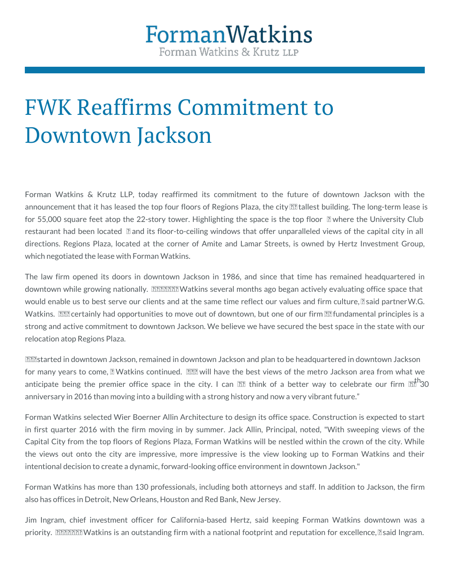## FWK Reaffirms Commitment Downtown Jackson

Forman Watkins & Krutz LLP, today reaffirmed its commitment to the announcement that it has leased the top four floors of Regions Plaza, the for 55,000 square feet atop the 22-story tower. Highlighting the space is restaurant had been located and its floor-to-ceiling windows that offer directions. Regions Plaza, located at the corner of Amite and Lamar Str which negotiated the lease with Forman Watkins.

The law firm opened its doors in downtown Jackson in 1986, and since downtown while growing nationally. Forman Watkins several months ago be would enable us to best serve our clients and at the same time reflecG.ou [Watki](/people/wg-watkins/)ns We certainly had opportunities to move out of downtown, but one o strong and active commitment to downtown Jackson. We believe we have se relocation atop Regions Plaza.

We started in downtown Jackson, remained in downtown Jackson and plan to for many years to come, Watkins continued. We will have the best view anticipate being the premier office space in the city. I can t think o anniversary in 2016 than moving into a building with a strong history and now

Forman Watkins Wsied ecBed rner Allin At child testign its office space. Construction in first quarter 2016 with the firm moving in by summer. Jack Allin, Pri Capital City from the top floors of Regions Plaza, Forman Watkins will be the views out onto the city are impressive, more impressive is the vie intentional decision to create a dynamic, forward-looking office environment

Forman Watkins has more than 130 professionals, including both attorneys also has offices in Detroit, New Orleans, Houston and Red Bank, New Jersey.

Jim Ingram, chief investment officer for California-based Hertz, said k priority. Forman Watkins is an outstanding firm with a national footprint a